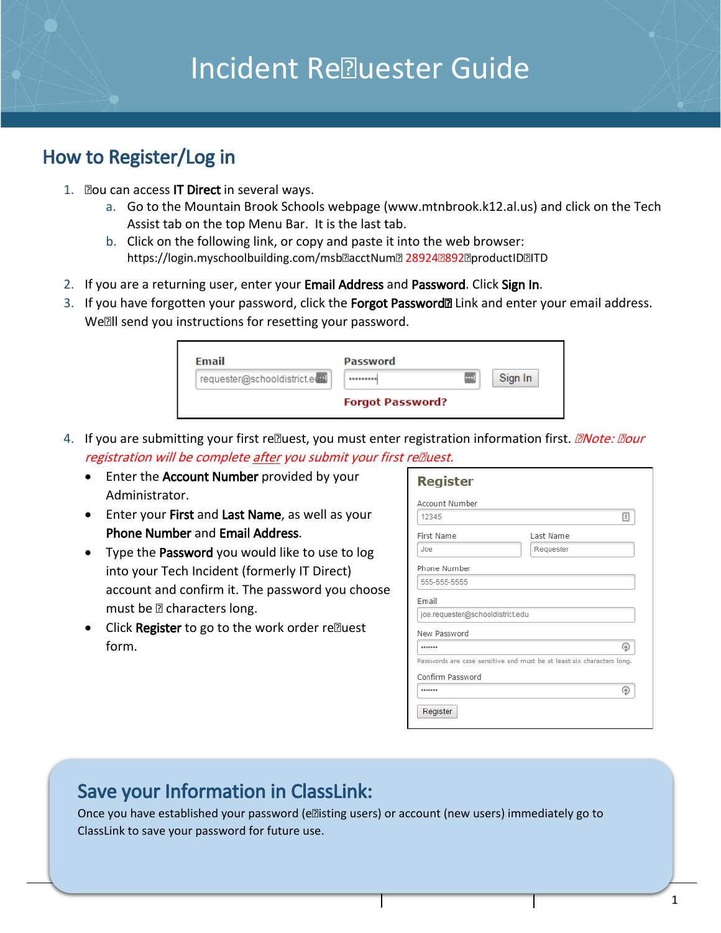# **Incident Re<br>
<sub>Re</sub>nute Contract** Guide

# How to Register/Log in

- 1. Zou can access **IT Direct** in several ways.
	- a. Go to the Mountain Brook Schools webpage (www.mtnbrook.k12.al.us) and click on the Tech Assist tab on the top Menu Bar. It is the last tab.
	- b. Click on the following link, or copy and paste it into the web browser: https://login.myschoolbuilding.com/msb@acctNum@ 28924@892@productID@ITD
- 2. If you are a returning user, enter your Email Address and Password. Click Sign In.
- 3. If you have forgotten your password, click the Forgot Password<sup>®</sup> Link and enter your email address. Weall send you instructions for resetting your password.

| Email                         | Password                |   |         |
|-------------------------------|-------------------------|---|---------|
| requester@schooldistrict.edul |                         | m | Sign In |
|                               | <b>Forgot Password?</b> |   |         |

- 4. If you are submitting your first relequest, you must enter registration information first. *ENote: Eour* registration will be complete after you submit your first relluest.
	- Enter the Account Number provided by your Administrator.
	- Enter your First and Last Name, as well as your Phone Number and Email Address.
	- Type the Password you would like to use to log into your Tech Incident (formerly IT Direct) account and confirm it. The password you choose must be  $@$  characters long.
	- Click Register to go to the work order relluest form.

| <b>Register</b>                                                        |                  |
|------------------------------------------------------------------------|------------------|
| Account Number                                                         |                  |
| 12345                                                                  | 国                |
| <b>First Name</b>                                                      | <b>Last Name</b> |
| Joe                                                                    | Requester        |
| Phone Number                                                           |                  |
| 555-555-5555                                                           |                  |
| Email                                                                  |                  |
| joe.requester@schooldistrict.edu                                       |                  |
| New Password                                                           |                  |
|                                                                        | ⊛                |
| Passwords are case sensitive and must be at least six characters long. |                  |
| Confirm Password                                                       |                  |
|                                                                        | ⊕                |
| Register                                                               |                  |

# Save your Information in ClassLink:

Once you have established your password (ellisting users) or account (new users) immediately go to ClassLink to save your password for future use.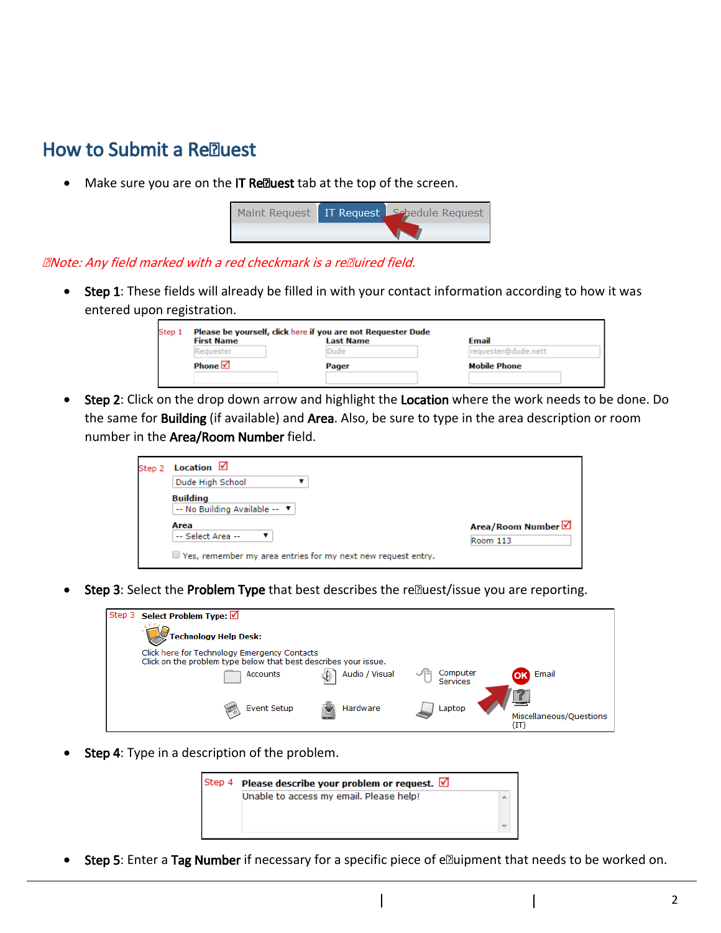### How to Submit a Realuest

Make sure you are on the IT Relluest tab at the top of the screen.



#### **ENote: Any field marked with a red checkmark is a reEuired field.**

• Step 1: These fields will already be filled in with your contact information according to how it was entered upon registration.

| <b>First Name</b> | <b>Last Name</b> | <b>Email</b>        |
|-------------------|------------------|---------------------|
| Requester         | Dude             | requester@dude.nett |
| Phone $\boxtimes$ | Pager            | <b>Mobile Phone</b> |

**Step 2:** Click on the drop down arrow and highlight the Location where the work needs to be done. Do the same for **Building** (if available) and Area. Also, be sure to type in the area description or room number in the Area/Room Number field.

| Dude High School                                 |                              |
|--------------------------------------------------|------------------------------|
| <b>Building</b><br>-- No Building Available -- V |                              |
| Area<br>-- Select Area --                        | Area/Room Number<br>Room 113 |

Step 3: Select the Problem Type that best describes the realuest/issue you are reporting.

| Step 3 Select Problem Type: √                                                                                   |                |                      |                                 |
|-----------------------------------------------------------------------------------------------------------------|----------------|----------------------|---------------------------------|
| <b>Technology Help Desk:</b>                                                                                    |                |                      |                                 |
| Click here for Technology Emergency Contacts<br>Click on the problem type below that best describes your issue. |                |                      |                                 |
| Accounts                                                                                                        | Audio / Visual | Computer<br>Services | Email                           |
| <b>Event Setup</b>                                                                                              | Hardware       |                      |                                 |
| $\triangleright$                                                                                                |                | Laptop               | Miscellaneous/Ouestions<br>(IT) |

Step 4: Type in a description of the problem.



• Step 5: Enter a Tag Number if necessary for a specific piece of elluipment that needs to be worked on.